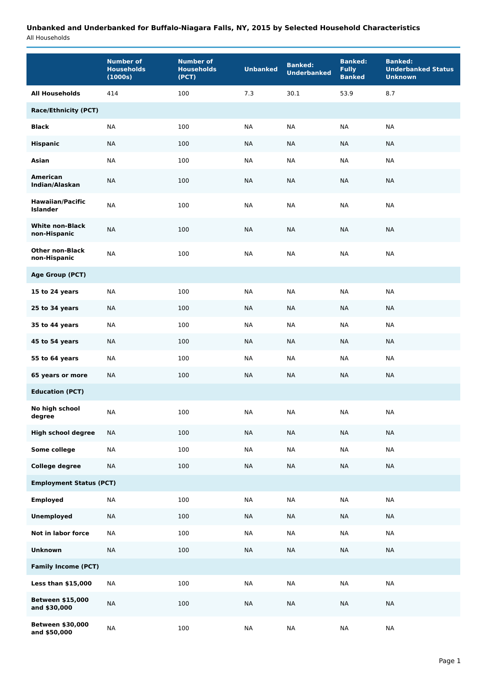## **Unbanked and Underbanked for Buffalo-Niagara Falls, NY, 2015 by Selected Household Characteristics**

All Households

|                                            | <b>Number of</b><br><b>Households</b><br>(1000s) | <b>Number of</b><br><b>Households</b><br>(PCT) | <b>Unbanked</b> | <b>Banked:</b><br><b>Underbanked</b> | <b>Banked:</b><br><b>Fully</b><br><b>Banked</b> | <b>Banked:</b><br><b>Underbanked Status</b><br><b>Unknown</b> |  |  |
|--------------------------------------------|--------------------------------------------------|------------------------------------------------|-----------------|--------------------------------------|-------------------------------------------------|---------------------------------------------------------------|--|--|
| <b>All Households</b>                      | 414                                              | 100                                            | 7.3             | 30.1                                 | 53.9                                            | 8.7                                                           |  |  |
| <b>Race/Ethnicity (PCT)</b>                |                                                  |                                                |                 |                                      |                                                 |                                                               |  |  |
| <b>Black</b>                               | <b>NA</b>                                        | 100                                            | <b>NA</b>       | <b>NA</b>                            | <b>NA</b>                                       | <b>NA</b>                                                     |  |  |
| <b>Hispanic</b>                            | <b>NA</b>                                        | 100                                            | <b>NA</b>       | <b>NA</b>                            | <b>NA</b>                                       | <b>NA</b>                                                     |  |  |
| Asian                                      | <b>NA</b>                                        | 100                                            | <b>NA</b>       | <b>NA</b>                            | <b>NA</b>                                       | <b>NA</b>                                                     |  |  |
| <b>American</b><br>Indian/Alaskan          | <b>NA</b>                                        | 100                                            | NА              | <b>NA</b>                            | <b>NA</b>                                       | <b>NA</b>                                                     |  |  |
| <b>Hawaiian/Pacific</b><br><b>Islander</b> | <b>NA</b>                                        | 100                                            | <b>NA</b>       | <b>NA</b>                            | <b>NA</b>                                       | <b>NA</b>                                                     |  |  |
| <b>White non-Black</b><br>non-Hispanic     | <b>NA</b>                                        | 100                                            | NА              | <b>NA</b>                            | <b>NA</b>                                       | <b>NA</b>                                                     |  |  |
| <b>Other non-Black</b><br>non-Hispanic     | <b>NA</b>                                        | 100                                            | <b>NA</b>       | NA                                   | <b>NA</b>                                       | <b>NA</b>                                                     |  |  |
| <b>Age Group (PCT)</b>                     |                                                  |                                                |                 |                                      |                                                 |                                                               |  |  |
| 15 to 24 years                             | <b>NA</b>                                        | 100                                            | <b>NA</b>       | <b>NA</b>                            | <b>NA</b>                                       | <b>NA</b>                                                     |  |  |
| 25 to 34 years                             | <b>NA</b>                                        | 100                                            | NА              | NА                                   | NA                                              | NA                                                            |  |  |
| 35 to 44 years                             | <b>NA</b>                                        | 100                                            | <b>NA</b>       | <b>NA</b>                            | <b>NA</b>                                       | <b>NA</b>                                                     |  |  |
| 45 to 54 years                             | <b>NA</b>                                        | 100                                            | NА              | NА                                   | NА                                              | <b>NA</b>                                                     |  |  |
| 55 to 64 years                             | <b>NA</b>                                        | 100                                            | <b>NA</b>       | <b>NA</b>                            | <b>NA</b>                                       | <b>NA</b>                                                     |  |  |
| 65 years or more                           | <b>NA</b>                                        | 100                                            | <b>NA</b>       | <b>NA</b>                            | <b>NA</b>                                       | <b>NA</b>                                                     |  |  |
| <b>Education (PCT)</b>                     |                                                  |                                                |                 |                                      |                                                 |                                                               |  |  |
| No high school<br>degree                   | <b>NA</b>                                        | 100                                            | ΝA              | ΝA                                   | ΝA                                              | NA                                                            |  |  |
| <b>High school degree</b>                  | <b>NA</b>                                        | 100                                            | <b>NA</b>       | <b>NA</b>                            | <b>NA</b>                                       | <b>NA</b>                                                     |  |  |
| Some college                               | <b>NA</b>                                        | 100                                            | $\sf NA$        | $\sf NA$                             | $\sf NA$                                        | $\sf NA$                                                      |  |  |
| <b>College degree</b>                      | <b>NA</b>                                        | 100                                            | <b>NA</b>       | <b>NA</b>                            | <b>NA</b>                                       | <b>NA</b>                                                     |  |  |
| <b>Employment Status (PCT)</b>             |                                                  |                                                |                 |                                      |                                                 |                                                               |  |  |
| <b>Employed</b>                            | $\sf NA$                                         | 100                                            | $\sf NA$        | $\sf NA$                             | $\sf NA$                                        | <b>NA</b>                                                     |  |  |
| <b>Unemployed</b>                          | $\sf NA$                                         | 100                                            | <b>NA</b>       | <b>NA</b>                            | <b>NA</b>                                       | <b>NA</b>                                                     |  |  |
| Not in labor force                         | $\sf NA$                                         | 100                                            | $\sf NA$        | $\sf NA$                             | <b>NA</b>                                       | $\sf NA$                                                      |  |  |
| Unknown                                    | <b>NA</b>                                        | 100                                            | $\sf NA$        | <b>NA</b>                            | <b>NA</b>                                       | <b>NA</b>                                                     |  |  |
| <b>Family Income (PCT)</b>                 |                                                  |                                                |                 |                                      |                                                 |                                                               |  |  |
| Less than \$15,000                         | <b>NA</b>                                        | 100                                            | <b>NA</b>       | <b>NA</b>                            | <b>NA</b>                                       | <b>NA</b>                                                     |  |  |
| <b>Between \$15,000</b><br>and \$30,000    | $\sf NA$                                         | 100                                            | $\sf NA$        | $\sf NA$                             | $\sf NA$                                        | $\sf NA$                                                      |  |  |
| Between \$30,000<br>and \$50,000           | $\sf NA$                                         | 100                                            | <b>NA</b>       | <b>NA</b>                            | <b>NA</b>                                       | <b>NA</b>                                                     |  |  |